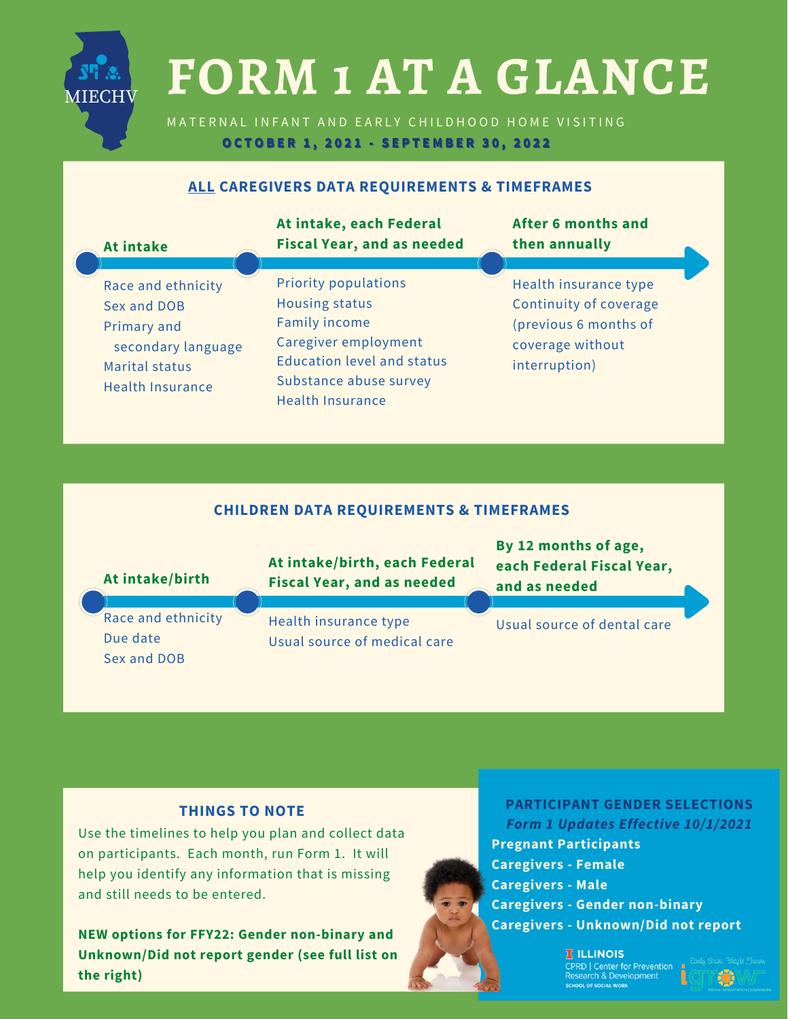# **FORM 1 AT A GLANCE**

MATERNAL INFANT AND EARLY CHILDHOOD HOME VISITING OCTOBER 1, 2021 - SEPTEMBER 30, 2022

# **ALL CAREGIVERS DATA REQUIREMENTS & TIMEFRAMES**

| <b>At intake</b>                                                                                                    | At intake, each Federal<br><b>Fiscal Year, and as needed</b>                                                                                                                                   | <b>After 6 months and</b><br>then annually                                                                    |
|---------------------------------------------------------------------------------------------------------------------|------------------------------------------------------------------------------------------------------------------------------------------------------------------------------------------------|---------------------------------------------------------------------------------------------------------------|
| Race and ethnicity<br>Sex and DOB<br>Primary and<br>secondary language<br>Marital status<br><b>Health Insurance</b> | <b>Priority populations</b><br><b>Housing status</b><br><b>Family income</b><br>Caregiver employment<br><b>Education level and status</b><br>Substance abuse survey<br><b>Health Insurance</b> | Health insurance type<br>Continuity of coverage<br>(previous 6 months of<br>coverage without<br>interruption) |

# **CHILDREN DATA REQUIREMENTS & TIMEFRAMES**



### **THINGS TO NOTE**

MIECHV

Use the timelines to help you plan and collect data on participants. Each month, run Form 1. It will help you identify any information that is missing and still needs to be entered.

**NEW options for FFY22: Gender non-binary and Unknown/Did not report gender (see full list on the right)**



**PARTICIPANT GENDER SELECTIONS** *Form 1 Updates Effective 10/1/2021* **Pregnant Participants Caregivers - Female Caregivers - Male Caregivers - Gender non-binary Caregivers - Unknown/Did not report**

> **I** ILLINOIS CPRD | Center for Prevention<br>Research & Development **DOL OF SOCIAL WOR**

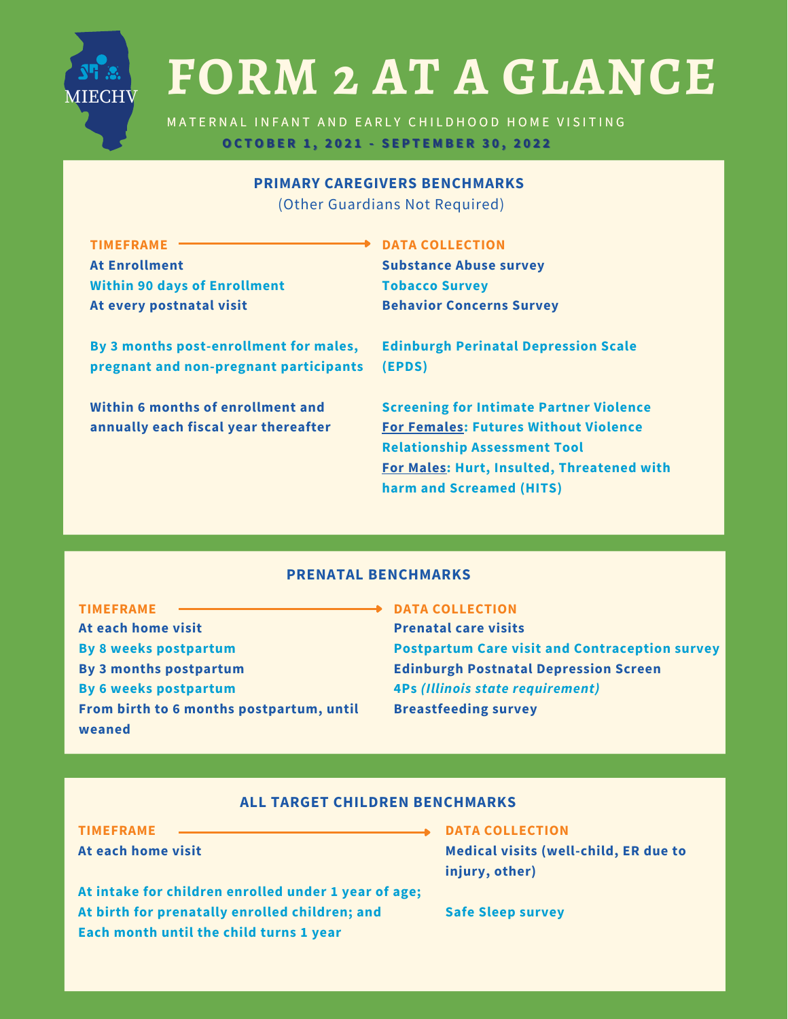

# **FORM 2 AT A GLANCE**

**DATA COLLECTION**

MATERNAL INFANT AND EARLY CHILDHOOD HOME VISITING **OOCCTTOOBBEERR 11,, 22002211 -- SSEEPPTTEEMMBBEERR 3300,, 22002222**

## **PRIMARY CAREGIVERS BENCHMARKS**

(Other Guardians Not Required)

**TIMEFRAME At Enrollment Within 90 days of Enrollment At every postnatal visit**

**By 3 months post-enrollment for males, pregnant and non-pregnant participants**

**Within 6 months of enrollment and annually each fiscal year thereafter**

**Substance Abuse survey Tobacco Survey Behavior Concerns Survey**

**Edinburgh Perinatal Depression Scale (EPDS)**

**Screening for Intimate Partner Violence For Females: Futures Without Violence Relationship Assessment Tool For Males: Hurt, Insulted, Threatened with harm and Screamed (HITS)**

### **PRENATAL BENCHMARKS**

**TIMEFRAME At each home visit By 8 weeks postpartum By 3 months postpartum By 6 weeks postpartum From birth to 6 months postpartum, until weaned**

#### **DATA COLLECTION**

**Prenatal care visits Postpartum Care visit and Contraception survey Edinburgh Postnatal Depression Screen 4Ps** *(Illinois state requirement)* **Breastfeeding survey**

#### **ALL TARGET CHILDREN BENCHMARKS**

**TIMEFRAME**

**At each home visit**

**At intake for children enrolled under 1 year of age; At birth for prenatally enrolled children; and Each month until the child turns 1 year**

**DATA COLLECTION Medical visits (well-child, ER due to injury, other)**

**Safe Sleep survey**